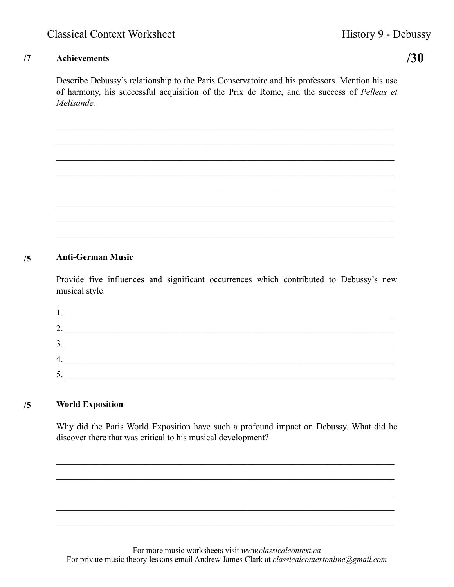## $/7$ **Achievements**

 $/30$ 

Describe Debussy's relationship to the Paris Conservatoire and his professors. Mention his use of harmony, his successful acquisition of the Prix de Rome, and the success of Pelleas et Melisande.

## **Anti-German Music**  $/5$

Provide five influences and significant occurrences which contributed to Debussy's new musical style.

| ∍   |  |
|-----|--|
| 3.  |  |
| -4. |  |
|     |  |

## **World Exposition**  $/5$

Why did the Paris World Exposition have such a profound impact on Debussy. What did he discover there that was critical to his musical development?

For more music worksheets visit www.classicalcontext.ca For private music theory lessons email Andrew James Clark at *classicalcontextonline@gmail.com*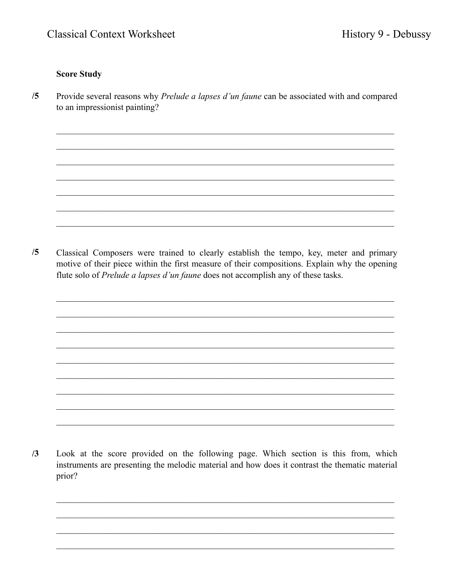## **Score Study**

 $/5$ Provide several reasons why Prelude a lapses d'un faune can be associated with and compared to an impressionist painting?

 $/5$ Classical Composers were trained to clearly establish the tempo, key, meter and primary motive of their piece within the first measure of their compositions. Explain why the opening flute solo of *Prelude a lapses d'un faune* does not accomplish any of these tasks.

 $/3$ Look at the score provided on the following page. Which section is this from, which instruments are presenting the melodic material and how does it contrast the thematic material prior?